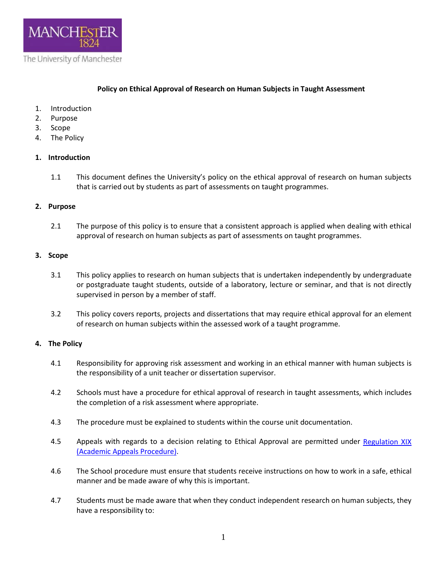

## **Policy on Ethical Approval of Research on Human Subjects in Taught Assessment**

- 1. Introduction
- 2. Purpose
- 3. Scope
- 4. The Policy

### **1. Introduction**

1.1 This document defines the University's policy on the ethical approval of research on human subjects that is carried out by students as part of assessments on taught programmes.

### **2. Purpose**

2.1 The purpose of this policy is to ensure that a consistent approach is applied when dealing with ethical approval of research on human subjects as part of assessments on taught programmes.

### **3. Scope**

- 3.1 This policy applies to research on human subjects that is undertaken independently by undergraduate or postgraduate taught students, outside of a laboratory, lecture or seminar, and that is not directly supervised in person by a member of staff.
- 3.2 This policy covers reports, projects and dissertations that may require ethical approval for an element of research on human subjects within the assessed work of a taught programme.

# **4. The Policy**

- 4.1 Responsibility for approving risk assessment and working in an ethical manner with human subjects is the responsibility of a unit teacher or dissertation supervisor.
- 4.2 Schools must have a procedure for ethical approval of research in taught assessments, which includes the completion of a risk assessment where appropriate.
- 4.3 The procedure must be explained to students within the course unit documentation.
- 4.5 Appeals with regards to a decision relating to Ethical Approval are permitted under Regulation XIX [\(Academic Appeals Procedure\).](http://documents.manchester.ac.uk/display.aspx?DocID=1872)
- 4.6 The School procedure must ensure that students receive instructions on how to work in a safe, ethical manner and be made aware of why this is important.
- 4.7 Students must be made aware that when they conduct independent research on human subjects, they have a responsibility to: